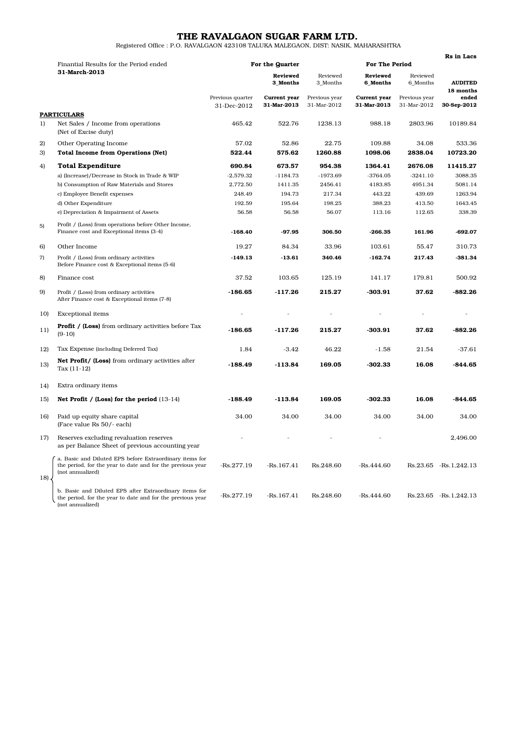# THE RAVALGAON SUGAR FARM LTD.

Registered Office : P.O. RAVALGAON 423108 TALUKA MALEGAON, DIST: NASIK, MAHARASHTRA

|     |                                                                                                                                           |                                 |                             |                              |                             |                              | <b>Rs</b> in Lacs                 |  |
|-----|-------------------------------------------------------------------------------------------------------------------------------------------|---------------------------------|-----------------------------|------------------------------|-----------------------------|------------------------------|-----------------------------------|--|
|     | Finantial Results for the Period ended<br>31-March-2013                                                                                   |                                 | For the Quarter             |                              |                             | <b>For The Period</b>        |                                   |  |
|     |                                                                                                                                           | <b>Reviewed</b><br>3_Months     |                             | Reviewed<br>3_Months         | <b>Reviewed</b><br>6_Months | Reviewed<br>6_Months         | <b>AUDITED</b>                    |  |
|     |                                                                                                                                           | Previous quarter<br>31-Dec-2012 | Current year<br>31-Mar-2013 | Previous year<br>31-Mar-2012 | Current year<br>31-Mar-2013 | Previous year<br>31-Mar-2012 | 18 months<br>ended<br>30-Sep-2012 |  |
|     | <b>PARTICULARS</b>                                                                                                                        |                                 |                             |                              |                             |                              |                                   |  |
| 1)  | Net Sales / Income from operations<br>(Net of Excise duty)                                                                                | 465.42                          | 522.76                      | 1238.13                      | 988.18                      | 2803.96                      | 10189.84                          |  |
| 2)  | Other Operating Income                                                                                                                    | 57.02                           | 52.86                       | 22.75                        | 109.88                      | 34.08                        | 533.36                            |  |
| 3)  | <b>Total Income from Operations (Net)</b>                                                                                                 | 522.44                          | 575.62                      | 1260.88                      | 1098.06                     | 2838.04                      | 10723.20                          |  |
| 4)  | <b>Total Expenditure</b>                                                                                                                  | 690.84                          | 673.57                      | 954.38                       | 1364.41                     | 2676.08                      | 11415.27                          |  |
|     | a) (Increase)/Decrease in Stock in Trade & WIP                                                                                            | $-2,579.32$                     | $-1184.73$                  | $-1973.69$                   | $-3764.05$                  | $-3241.10$                   | 3088.35                           |  |
|     | b) Consumption of Raw Materials and Stores                                                                                                | 2,772.50                        | 1411.35                     | 2456.41                      | 4183.85                     | 4951.34                      | 5081.14                           |  |
|     | c) Employee Benefit expenses                                                                                                              | 248.49                          | 194.73                      | 217.34                       | 443.22                      | 439.69                       | 1263.94                           |  |
|     | d) Other Expenditure                                                                                                                      | 192.59                          | 195.64                      | 198.25                       | 388.23                      | 413.50                       | 1643.45                           |  |
|     | e) Depreciation & Impairment of Assets                                                                                                    | 56.58                           | 56.58                       | 56.07                        | 113.16                      | 112.65                       | 338.39                            |  |
| 5)  | Profit / (Loss) from operations before Other Income,<br>Finance cost and Exceptional items (3-4)                                          | $-168.40$                       | $-97.95$                    | 306.50                       | $-266.35$                   | 161.96                       | $-692.07$                         |  |
| 6)  | Other Income                                                                                                                              | 19.27                           | 84.34                       | 33.96                        | 103.61                      | 55.47                        | 310.73                            |  |
| 7)  | Profit / (Loss) from ordinary activities<br>Before Finance cost & Exceptional items (5-6)                                                 | $-149.13$                       | $-13.61$                    | 340.46                       | $-162.74$                   | 217.43                       | $-381.34$                         |  |
| 8)  | Finance cost                                                                                                                              | 37.52                           | 103.65                      | 125.19                       | 141.17                      | 179.81                       | 500.92                            |  |
| 9)  | Profit / (Loss) from ordinary activities<br>After Finance cost & Exceptional items (7-8)                                                  | $-186.65$                       | $-117.26$                   | 215.27                       | $-303.91$                   | 37.62                        | $-882.26$                         |  |
| 10) | <b>Exceptional</b> items                                                                                                                  |                                 |                             |                              | $\overline{a}$              |                              |                                   |  |
| 11) | <b>Profit / (Loss)</b> from ordinary activities before Tax<br>$(9-10)$                                                                    | -186.65                         | $-117.26$                   | 215.27                       | $-303.91$                   | 37.62                        | $-882.26$                         |  |
| 12) | Tax Expense (including Deferred Tax)                                                                                                      | 1.84                            | $-3.42$                     | 46.22                        | $-1.58$                     | 21.54                        | $-37.61$                          |  |
| 13) | Net Profit/ (Loss) from ordinary activities after<br>Tax $(11-12)$                                                                        | $-188.49$                       | $-113.84$                   | 169.05                       | $-302.33$                   | 16.08                        | $-844.65$                         |  |
| 14) | Extra ordinary items                                                                                                                      |                                 |                             |                              |                             |                              |                                   |  |
| 15) | Net Profit / (Loss) for the period $(13-14)$                                                                                              | $-188.49$                       | $-113.84$                   | 169.05                       | -302.33                     | 16.08                        | -844.65                           |  |
| 16) | Paid up equity share capital<br>(Face value Rs 50/- each)                                                                                 | 34.00                           | 34.00                       | 34.00                        | 34.00                       | 34.00                        | 34.00                             |  |
| 17) | Reserves excluding revaluation reserves<br>as per Balance Sheet of previous accounting year                                               |                                 |                             |                              |                             |                              | 2.496.00                          |  |
| 18  | a. Basic and Diluted EPS before Extraordinary items for<br>the period, for the year to date and for the previous year<br>(not annualized) | $-Rs.277.19$                    | $-Rs.167.41$                | Rs.248.60                    | $-Rs.444.60$                |                              | Rs.23.65 - Rs.1,242.13            |  |
|     | b. Basic and Diluted EPS after Extraordinary items for<br>the period, for the year to date and for the previous year<br>(not annualized)  | $-Rs.277.19$                    | $-Rs.167.41$                | Rs.248.60                    | $-Rs.444.60$                |                              | Rs.23.65 - Rs.1,242.13            |  |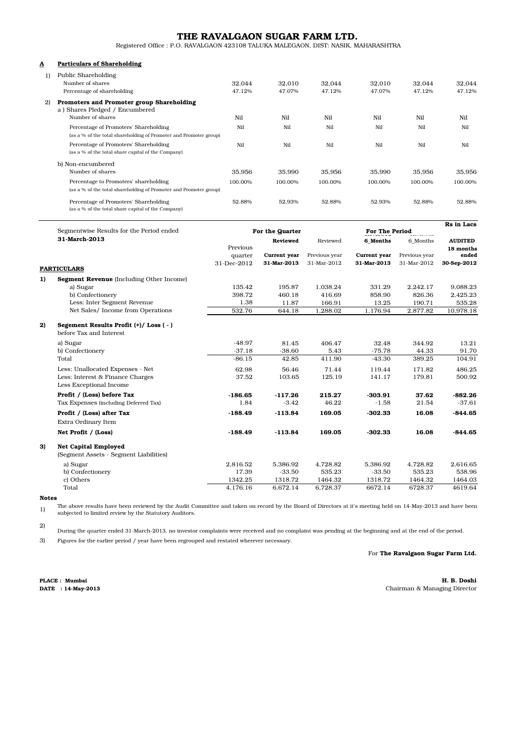## THE RAVALGAON SUGAR FARM LTD.

Registered Office : P.O. RAVALGAON 423108 TALUKA MALEGAON, DIST: NASIK, MAHARASHTRA

### A Particulars of Shareholding

| 1)           | Public Shareholding<br>Number of shares<br>Percentage of shareholding                                      | 32.044<br>47.12% | 32.010<br>47.07% | 32.044<br>47.12% | 32.010<br>47.07% | 32.044<br>47.12% | 32.044<br>47.12% |
|--------------|------------------------------------------------------------------------------------------------------------|------------------|------------------|------------------|------------------|------------------|------------------|
| $\mathbf{2}$ | Promoters and Promoter group Shareholding<br>a) Shares Pledged / Encumbered                                |                  |                  |                  |                  |                  |                  |
|              | Number of shares                                                                                           | Ni1              | Nil              | Nil              | Nil              | Nil              | Nil              |
|              | Percentage of Promoters' Shareholding<br>(as a % of the total shareholding of Promoter and Promoter group) | Nil              | Ni1              | Nil              | Nil              | Nil              | Nil              |
|              | Percentage of Promoters' Shareholding<br>(as a % of the total share capital of the Company)                | N <sub>i</sub>   | Ni1              | Ni1              | Nil              | Nil              | Nil              |
|              | b) Non-encumbered                                                                                          |                  |                  |                  |                  |                  |                  |
|              | Number of shares                                                                                           | 35.956           | 35.990           | 35.956           | 35.990           | 35.956           | 35.956           |
|              | Percentage to Promoters' shareholding                                                                      | 100.00%          | 100.00%          | 100.00%          | 100.00%          | 100.00%          | 100.00%          |
|              | (as a % of the total shareholding of Promoter and Promoter group)                                          |                  |                  |                  |                  |                  |                  |
|              | Percentage of Promoters' Shareholding<br>(as a % of the total share capital of the Company)                | 52.88%           | 52.93%           | 52.88%           | 52.93%           | 52.88%           | 52.88%           |

|    |                                                                 |                 |              |               |                       |               | Rs in Lacs         |  |
|----|-----------------------------------------------------------------|-----------------|--------------|---------------|-----------------------|---------------|--------------------|--|
|    | Segmentwise Results for the Period ended<br>31-March-2013       | For the Quarter |              |               | <b>For The Period</b> |               |                    |  |
|    |                                                                 |                 | Reviewed     | Reviewed      | 6 Months              | 6 Months      | <b>AUDITED</b>     |  |
|    |                                                                 | Previous        | Current year | Previous year | Current year          | Previous year | 18 months<br>ended |  |
|    |                                                                 | quarter         |              |               |                       |               |                    |  |
|    | <b>PARTICULARS</b>                                              | 31-Dec-2012     | 31-Mar-2013  | 31-Mar-2012   | 31-Mar-2013           | 31-Mar-2012   | 30-Sep-2012        |  |
| 1) | Segment Revenue (Including Other Income)                        |                 |              |               |                       |               |                    |  |
|    | a) Sugar                                                        | 135.42          | 195.87       | 1,038.24      | 331.29                | 2,242.17      | 9,088.23           |  |
|    | b) Confectionery                                                | 398.72          | 460.18       | 416.69        | 858.90                | 826.36        | 2,425.23           |  |
|    | Less: Inter Segment Revenue                                     | 1.38            | 11.87        | 166.91        | 13.25                 | 190.71        | 535.28             |  |
|    | Net Sales/ Income from Operations                               | 532.76          | 644.18       | 1,288.02      | 1,176.94              | 2,877.82      | 10,978.18          |  |
|    |                                                                 |                 |              |               |                       |               |                    |  |
| 2) | Segement Results Profit (+)/Loss (-)<br>before Tax and Interest |                 |              |               |                       |               |                    |  |
|    | a) Sugar                                                        | $-48.97$        | 81.45        | 406.47        | 32.48                 | 344.92        | 13.21              |  |
|    | b) Confectionery                                                | $-37.18$        | $-38.60$     | 5.43          | $-75.78$              | 44.33         | 91.70              |  |
|    | Total                                                           | $-86.15$        | 42.85        | 411.90        | $-43.30$              | 389.25        | 104.91             |  |
|    | Less: Unallocated Expenses - Net                                | 62.98           | 56.46        | 71.44         | 119.44                | 171.82        | 486.25             |  |
|    | Less: Interest & Finance Charges                                | 37.52           | 103.65       | 125.19        | 141.17                | 179.81        | 500.92             |  |
|    | Less Exceptional Income                                         |                 |              |               |                       |               |                    |  |
|    | Profit / (Loss) before Tax                                      | $-186.65$       | $-117.26$    | 215.27        | $-303.91$             | 37.62         | $-882.26$          |  |
|    | Tax Expenses (including Deferred Tax)                           | 1.84            | $-3.42$      | 46.22         | $-1.58$               | 21.54         | $-37.61$           |  |
|    | Profit / (Loss) after Tax                                       | $-188.49$       | $-113.84$    | 169.05        | $-302.33$             | 16.08         | $-844.65$          |  |
|    | Extra Ordinary Item                                             |                 |              |               |                       |               |                    |  |
|    | Net Profit / (Loss)                                             | $-188.49$       | $-113.84$    | 169.05        | $-302.33$             | 16.08         | $-844.65$          |  |
| 3) | <b>Net Capital Employed</b>                                     |                 |              |               |                       |               |                    |  |
|    | (Segment Assets - Segment Liabilities)                          |                 |              |               |                       |               |                    |  |
|    | a) Sugar                                                        | 2,816.52        | 5,386.92     | 4,728.82      | 5,386.92              | 4,728.82      | 2,616.65           |  |
|    | b) Confectionery                                                | 17.39           | $-33.50$     | 535.23        | $-33.50$              | 535.23        | 538.96             |  |
|    | c) Others                                                       | 1342.25         | 1318.72      | 1464.32       | 1318.72               | 1464.32       | 1464.03            |  |
|    | Total                                                           | 4,176.16        | 6,672.14     | 6,728.37      | 6672.14               | 6728.37       | 4619.64            |  |

#### Notes

1) The above results have been reviewed by the Audit Committee and taken on record by the Board of Directors at it's meeting held on 14-May-2013 and have been subjected to limited review by the Statutory Auditors.

2)

During the quarter ended 31-March-2013, no investor complaints were received and no complaint was pending at the beginning and at the end of the period.

3) Figures for the earlier period / year have been regrouped and restated wherever necessary.

### For The Ravalgaon Sugar Farm Ltd.

PLACE : Mumbai

H. B. Doshi DATE : 14-May-2013 Chairman & Managing Director